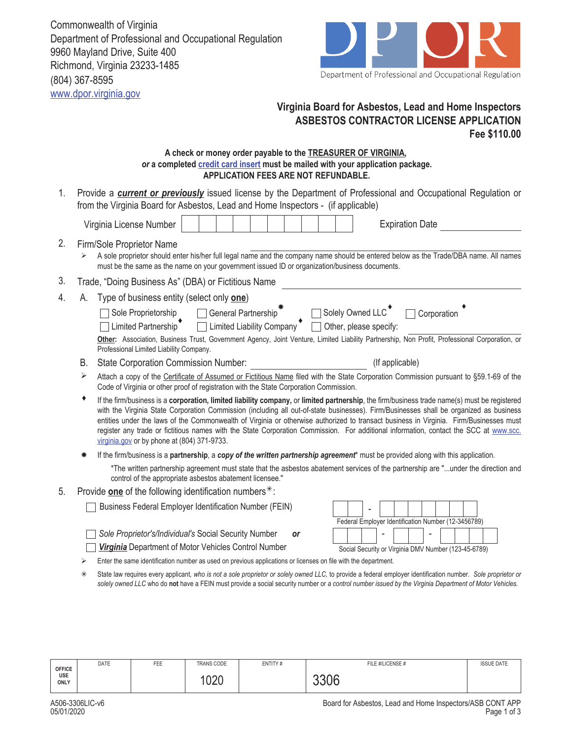Commonwealth of Virginia Department of Professional and Occupational Regulation 9960 Mayland Drive, Suite 400 Richmond, Virginia 23233-1485 (804) 367-8595 www.dpor.virginia.gov



## **Virginia Board for Asbestos, Lead and Home Inspectors ASBESTOS CONTRACTOR LICENSE APPLICATION Fee \$110.00**

## **A check or money order payable to the TREASURER OF VIRGINIA,**  *or* **a completed credit card insert must be mailed with your application package. APPLICATION FEES ARE NOT REFUNDABLE.**

1. Provide a **current or previously** issued license by the Department of Professional and Occupational Regulation or from the Virginia Board for Asbestos, Lead and Home Inspectors - (if applicable)

|    |                                                                                                                                   | Virginia License Number                                                                                                                                                                                                                                                                                                                                                                                                                                                                                                                                                                                                  |  |  |  |  |                 | <b>Expiration Date</b> |  |                                                     |  |  |
|----|-----------------------------------------------------------------------------------------------------------------------------------|--------------------------------------------------------------------------------------------------------------------------------------------------------------------------------------------------------------------------------------------------------------------------------------------------------------------------------------------------------------------------------------------------------------------------------------------------------------------------------------------------------------------------------------------------------------------------------------------------------------------------|--|--|--|--|-----------------|------------------------|--|-----------------------------------------------------|--|--|
| 2. |                                                                                                                                   | Firm/Sole Proprietor Name<br>A sole proprietor should enter his/her full legal name and the company name should be entered below as the Trade/DBA name. All names<br>must be the same as the name on your government issued ID or organization/business documents.                                                                                                                                                                                                                                                                                                                                                       |  |  |  |  |                 |                        |  |                                                     |  |  |
| 3. |                                                                                                                                   | Trade, "Doing Business As" (DBA) or Fictitious Name                                                                                                                                                                                                                                                                                                                                                                                                                                                                                                                                                                      |  |  |  |  |                 |                        |  |                                                     |  |  |
| 4. | А.                                                                                                                                | Type of business entity (select only <b>one)</b>                                                                                                                                                                                                                                                                                                                                                                                                                                                                                                                                                                         |  |  |  |  |                 |                        |  |                                                     |  |  |
|    |                                                                                                                                   | Sole Proprietorship □ General Partnership <sup>*</sup> □ Solely Owned LLC <sup>*</sup> □ Corporation                                                                                                                                                                                                                                                                                                                                                                                                                                                                                                                     |  |  |  |  |                 |                        |  |                                                     |  |  |
|    |                                                                                                                                   | Limited Partnership $\bullet$ $\Box$ Limited Liability Company $\bullet$ $\Box$ Other, please specify:                                                                                                                                                                                                                                                                                                                                                                                                                                                                                                                   |  |  |  |  |                 |                        |  |                                                     |  |  |
|    |                                                                                                                                   | Other: Association, Business Trust, Government Agency, Joint Venture, Limited Liability Partnership, Non Profit, Professional Corporation, or<br>Professional Limited Liability Company.                                                                                                                                                                                                                                                                                                                                                                                                                                 |  |  |  |  |                 |                        |  |                                                     |  |  |
|    | В.                                                                                                                                | <b>State Corporation Commission Number:</b>                                                                                                                                                                                                                                                                                                                                                                                                                                                                                                                                                                              |  |  |  |  | (If applicable) |                        |  |                                                     |  |  |
|    | ⋗                                                                                                                                 | Attach a copy of the Certificate of Assumed or Fictitious Name filed with the State Corporation Commission pursuant to §59.1-69 of the<br>Code of Virginia or other proof of registration with the State Corporation Commission.                                                                                                                                                                                                                                                                                                                                                                                         |  |  |  |  |                 |                        |  |                                                     |  |  |
|    |                                                                                                                                   | If the firm/business is a corporation, limited liability company, or limited partnership, the firm/business trade name(s) must be registered<br>with the Virginia State Corporation Commission (including all out-of-state businesses). Firm/Businesses shall be organized as business<br>entities under the laws of the Commonwealth of Virginia or otherwise authorized to transact business in Virginia. Firm/Businesses must<br>register any trade or fictitious names with the State Corporation Commission. For additional information, contact the SCC at www.scc.<br>virginia.gov or by phone at (804) 371-9733. |  |  |  |  |                 |                        |  |                                                     |  |  |
|    | If the firm/business is a partnership, a copy of the written partnership agreement* must be provided along with this application. |                                                                                                                                                                                                                                                                                                                                                                                                                                                                                                                                                                                                                          |  |  |  |  |                 |                        |  |                                                     |  |  |
|    |                                                                                                                                   | *The written partnership agreement must state that the asbestos abatement services of the partnership are "under the direction and<br>control of the appropriate asbestos abatement licensee."                                                                                                                                                                                                                                                                                                                                                                                                                           |  |  |  |  |                 |                        |  |                                                     |  |  |
| 5. |                                                                                                                                   | Provide one of the following identification numbers $*$ :                                                                                                                                                                                                                                                                                                                                                                                                                                                                                                                                                                |  |  |  |  |                 |                        |  |                                                     |  |  |
|    |                                                                                                                                   | Business Federal Employer Identification Number (FEIN)                                                                                                                                                                                                                                                                                                                                                                                                                                                                                                                                                                   |  |  |  |  |                 |                        |  | Federal Emplover Identification Number (12-3456789) |  |  |

- *Sole Proprietor's/Individual's* Social Security Number *or*
- *Virginia* Department of Motor Vehicles Control Number

| Federal Employer Identification Number (12-3456789)  |  |  |  |  |  |  |  |  |  |  |
|------------------------------------------------------|--|--|--|--|--|--|--|--|--|--|
|                                                      |  |  |  |  |  |  |  |  |  |  |
| Social Security or Virginia DMV Number (123-45-6789) |  |  |  |  |  |  |  |  |  |  |

- $\triangleright$  Enter the same identification number as used on previous applications or licenses on file with the department.
- State law requires every applicant*, who is not a sole proprietor or solely owned LLC,* to provide a federal employer identification number. *Sole proprietor or solely owned LLC* who do **not** have a FEIN must provide a social security number or *a control number issued by the Virginia Department of Motor Vehicles.*

| <b>OFFICE</b><br>USE<br><b>ONLY</b> | DATE | FEE | <b>TRANS CODE</b> | ENTITY# | FILE #/LICENSE # | <b>ISSUE DATE</b> |
|-------------------------------------|------|-----|-------------------|---------|------------------|-------------------|
|                                     |      |     | $\Omega$<br>∪∠∪   |         | 3306             |                   |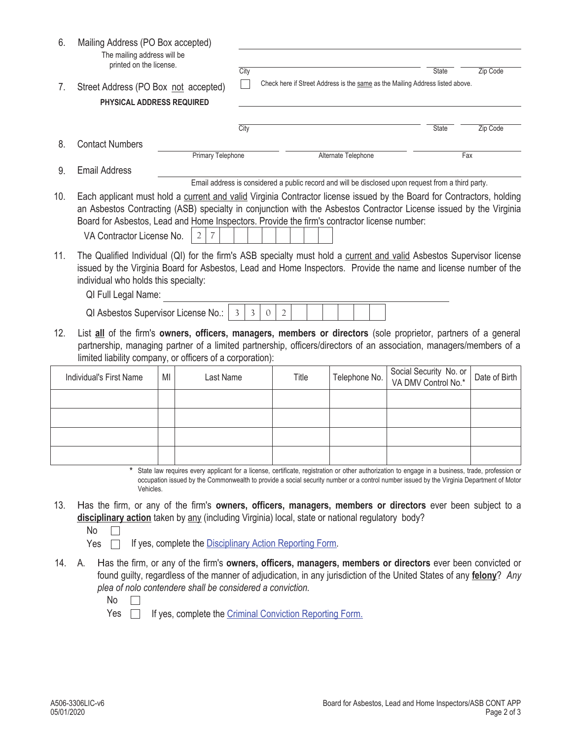| 6.  | Mailing Address (PO Box accepted)<br>The mailing address will be<br>printed on the license.                                                                                                                                                                                                                                                                             |                                                                                                                                                                                                                                                                                                                                                            |        |                                                                                       |                |       |  |  |                     |  |  |                                                                                                    |               |  |  |
|-----|-------------------------------------------------------------------------------------------------------------------------------------------------------------------------------------------------------------------------------------------------------------------------------------------------------------------------------------------------------------------------|------------------------------------------------------------------------------------------------------------------------------------------------------------------------------------------------------------------------------------------------------------------------------------------------------------------------------------------------------------|--------|---------------------------------------------------------------------------------------|----------------|-------|--|--|---------------------|--|--|----------------------------------------------------------------------------------------------------|---------------|--|--|
| 7.  | Street Address (PO Box not accepted)<br>PHYSICAL ADDRESS REQUIRED                                                                                                                                                                                                                                                                                                       |                                                                                                                                                                                                                                                                                                                                                            |        | City<br>Check here if Street Address is the same as the Mailing Address listed above. |                |       |  |  |                     |  |  | Zip Code<br><b>State</b>                                                                           |               |  |  |
|     |                                                                                                                                                                                                                                                                                                                                                                         |                                                                                                                                                                                                                                                                                                                                                            |        |                                                                                       |                |       |  |  |                     |  |  |                                                                                                    |               |  |  |
|     |                                                                                                                                                                                                                                                                                                                                                                         |                                                                                                                                                                                                                                                                                                                                                            | City   |                                                                                       |                |       |  |  |                     |  |  | State                                                                                              | Zip Code      |  |  |
| 8.  | <b>Contact Numbers</b>                                                                                                                                                                                                                                                                                                                                                  | <b>Primary Telephone</b>                                                                                                                                                                                                                                                                                                                                   |        |                                                                                       |                |       |  |  | Alternate Telephone |  |  | Fax                                                                                                |               |  |  |
| 9.  | <b>Email Address</b>                                                                                                                                                                                                                                                                                                                                                    |                                                                                                                                                                                                                                                                                                                                                            |        |                                                                                       |                |       |  |  |                     |  |  |                                                                                                    |               |  |  |
|     |                                                                                                                                                                                                                                                                                                                                                                         |                                                                                                                                                                                                                                                                                                                                                            |        |                                                                                       |                |       |  |  |                     |  |  | Email address is considered a public record and will be disclosed upon request from a third party. |               |  |  |
| 10. | Each applicant must hold a current and valid Virginia Contractor license issued by the Board for Contractors, holding<br>an Asbestos Contracting (ASB) specialty in conjunction with the Asbestos Contractor License issued by the Virginia<br>Board for Asbestos, Lead and Home Inspectors. Provide the firm's contractor license number:<br>VA Contractor License No. | 2                                                                                                                                                                                                                                                                                                                                                          |        |                                                                                       |                |       |  |  |                     |  |  |                                                                                                    |               |  |  |
| 11. | The Qualified Individual (QI) for the firm's ASB specialty must hold a current and valid Asbestos Supervisor license<br>issued by the Virginia Board for Asbestos, Lead and Home Inspectors. Provide the name and license number of the<br>individual who holds this specialty:<br>QI Full Legal Name:                                                                  |                                                                                                                                                                                                                                                                                                                                                            |        |                                                                                       |                |       |  |  |                     |  |  |                                                                                                    |               |  |  |
|     | QI Asbestos Supervisor License No.:                                                                                                                                                                                                                                                                                                                                     |                                                                                                                                                                                                                                                                                                                                                            | 3<br>3 | $\mathbf{0}$                                                                          | $\overline{2}$ |       |  |  |                     |  |  |                                                                                                    |               |  |  |
| 12. | List all of the firm's owners, officers, managers, members or directors (sole proprietor, partners of a general<br>partnership, managing partner of a limited partnership, officers/directors of an association, managers/members of a<br>limited liability company, or officers of a corporation):                                                                     |                                                                                                                                                                                                                                                                                                                                                            |        |                                                                                       |                |       |  |  |                     |  |  |                                                                                                    |               |  |  |
|     | Individual's First Name                                                                                                                                                                                                                                                                                                                                                 | Last Name<br>MI                                                                                                                                                                                                                                                                                                                                            |        |                                                                                       |                | Title |  |  | Telephone No.       |  |  | Social Security No. or<br>VA DMV Control No.*                                                      | Date of Birth |  |  |
|     |                                                                                                                                                                                                                                                                                                                                                                         |                                                                                                                                                                                                                                                                                                                                                            |        |                                                                                       |                |       |  |  |                     |  |  |                                                                                                    |               |  |  |
|     |                                                                                                                                                                                                                                                                                                                                                                         |                                                                                                                                                                                                                                                                                                                                                            |        |                                                                                       |                |       |  |  |                     |  |  |                                                                                                    |               |  |  |
|     |                                                                                                                                                                                                                                                                                                                                                                         |                                                                                                                                                                                                                                                                                                                                                            |        |                                                                                       |                |       |  |  |                     |  |  |                                                                                                    |               |  |  |
|     |                                                                                                                                                                                                                                                                                                                                                                         |                                                                                                                                                                                                                                                                                                                                                            |        |                                                                                       |                |       |  |  |                     |  |  |                                                                                                    |               |  |  |
|     | Vehicles.                                                                                                                                                                                                                                                                                                                                                               | State law requires every applicant for a license, certificate, registration or other authorization to engage in a business, trade, profession or<br>occupation issued by the Commonwealth to provide a social security number or a control number issued by the Virginia Department of Motor                                                               |        |                                                                                       |                |       |  |  |                     |  |  |                                                                                                    |               |  |  |
| 13. | Has the firm, or any of the firm's owners, officers, managers, members or directors ever been subject to a<br>disciplinary action taken by any (including Virginia) local, state or national regulatory body?<br>No<br>Yes                                                                                                                                              | If yes, complete the Disciplinary Action Reporting Form.                                                                                                                                                                                                                                                                                                   |        |                                                                                       |                |       |  |  |                     |  |  |                                                                                                    |               |  |  |
| 14. | А.<br>No<br>Yes                                                                                                                                                                                                                                                                                                                                                         | Has the firm, or any of the firm's owners, officers, managers, members or directors ever been convicted or<br>found guilty, regardless of the manner of adjudication, in any jurisdiction of the United States of any felony? Any<br>plea of nolo contendere shall be considered a conviction.<br>If yes, complete the Criminal Conviction Reporting Form. |        |                                                                                       |                |       |  |  |                     |  |  |                                                                                                    |               |  |  |
|     |                                                                                                                                                                                                                                                                                                                                                                         |                                                                                                                                                                                                                                                                                                                                                            |        |                                                                                       |                |       |  |  |                     |  |  |                                                                                                    |               |  |  |